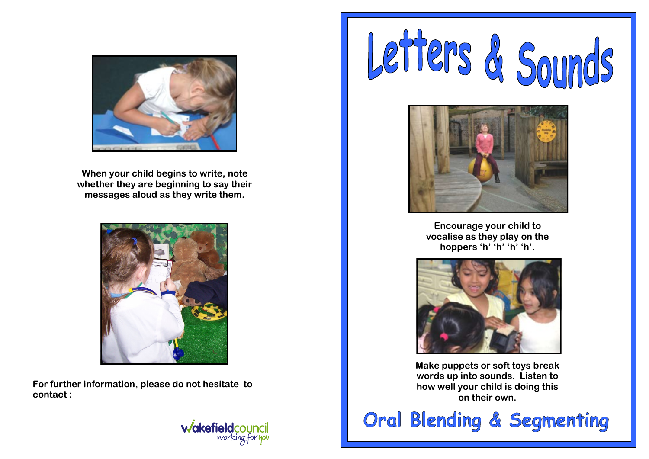

**When your child begins to write, note whether they are beginning to say their messages aloud as they write them.**



**For further information, please do not hesitate to contact :**







**Encourage your child to vocalise as they play on the hoppers 'h' 'h' 'h' 'h'.**



**Make puppets or soft toys break words up into sounds. Listen to how well your child is doing this on their own.**

**Oral Blending & Segmenting**